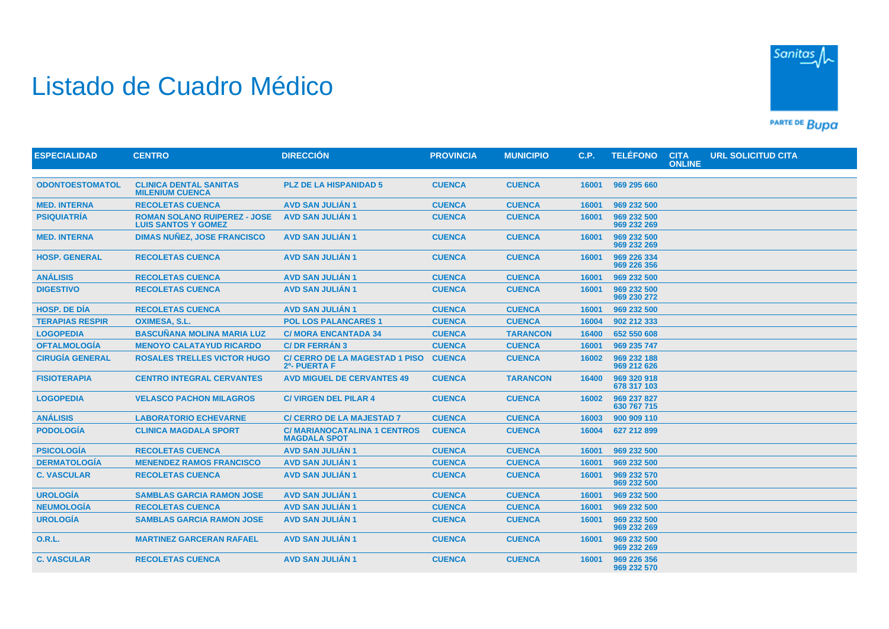## Listado de Cuadro Médico



PARTE DE BUDA

| <b>ESPECIALIDAD</b>    | <b>CENTRO</b>                                                     | <b>DIRECCIÓN</b>                                          | <b>PROVINCIA</b> | <b>MUNICIPIO</b> | <b>C.P.</b> | <b>TELÉFONO</b>            | <b>CITA</b><br><b>ONLINE</b> | <b>URL SOLICITUD CITA</b> |
|------------------------|-------------------------------------------------------------------|-----------------------------------------------------------|------------------|------------------|-------------|----------------------------|------------------------------|---------------------------|
|                        |                                                                   |                                                           |                  |                  |             |                            |                              |                           |
| <b>ODONTOESTOMATOL</b> | <b>CLINICA DENTAL SANITAS</b><br><b>MILENIUM CUENCA</b>           | <b>PLZ DE LA HISPANIDAD 5</b>                             | <b>CUENCA</b>    | <b>CUENCA</b>    | 16001       | 969 295 660                |                              |                           |
| <b>MED. INTERNA</b>    | <b>RECOLETAS CUENCA</b>                                           | <b>AVD SAN JULIÁN 1</b>                                   | <b>CUENCA</b>    | <b>CUENCA</b>    | 16001       | 969 232 500                |                              |                           |
| <b>PSIQUIATRÍA</b>     | <b>ROMAN SOLANO RUIPEREZ - JOSE</b><br><b>LUIS SANTOS Y GOMEZ</b> | <b>AVD SAN JULIAN 1</b>                                   | <b>CUENCA</b>    | <b>CUENCA</b>    | 16001       | 969 232 500<br>969 232 269 |                              |                           |
| <b>MED. INTERNA</b>    | <b>DIMAS NUÑEZ, JOSE FRANCISCO</b>                                | <b>AVD SAN JULIÁN 1</b>                                   | <b>CUENCA</b>    | <b>CUENCA</b>    | 16001       | 969 232 500<br>969 232 269 |                              |                           |
| <b>HOSP. GENERAL</b>   | <b>RECOLETAS CUENCA</b>                                           | <b>AVD SAN JULIAN 1</b>                                   | <b>CUENCA</b>    | <b>CUENCA</b>    | 16001       | 969 226 334<br>969 226 356 |                              |                           |
| <b>ANÁLISIS</b>        | <b>RECOLETAS CUENCA</b>                                           | <b>AVD SAN JULIÁN 1</b>                                   | <b>CUENCA</b>    | <b>CUENCA</b>    | 16001       | 969 232 500                |                              |                           |
| <b>DIGESTIVO</b>       | <b>RECOLETAS CUENCA</b>                                           | <b>AVD SAN JULIÁN 1</b>                                   | <b>CUENCA</b>    | <b>CUENCA</b>    | 16001       | 969 232 500<br>969 230 272 |                              |                           |
| <b>HOSP, DE DÍA</b>    | <b>RECOLETAS CUENCA</b>                                           | <b>AVD SAN JULIÁN 1</b>                                   | <b>CUENCA</b>    | <b>CUENCA</b>    | 16001       | 969 232 500                |                              |                           |
| <b>TERAPIAS RESPIR</b> | <b>OXIMESA, S.L.</b>                                              | <b>POL LOS PALANCARES 1</b>                               | <b>CUENCA</b>    | <b>CUENCA</b>    | 16004       | 902 212 333                |                              |                           |
| <b>LOGOPEDIA</b>       | <b>BASCUÑANA MOLINA MARIA LUZ</b>                                 | <b>C/ MORA ENCANTADA 34</b>                               | <b>CUENCA</b>    | <b>TARANCON</b>  | 16400       | 652 550 608                |                              |                           |
| <b>OFTALMOLOGÍA</b>    | <b>MENOYO CALATAYUD RICARDO</b>                                   | <b>C/DR FERRÁN 3</b>                                      | <b>CUENCA</b>    | <b>CUENCA</b>    | 16001       | 969 235 747                |                              |                           |
| <b>CIRUGÍA GENERAL</b> | <b>ROSALES TRELLES VICTOR HUGO</b>                                | <b>C/ CERRO DE LA MAGESTAD 1 PISO</b><br>2º- PUERTA F     | <b>CUENCA</b>    | <b>CUENCA</b>    | 16002       | 969 232 188<br>969 212 626 |                              |                           |
| <b>FISIOTERAPIA</b>    | <b>CENTRO INTEGRAL CERVANTES</b>                                  | <b>AVD MIGUEL DE CERVANTES 49</b>                         | <b>CUENCA</b>    | <b>TARANCON</b>  | 16400       | 969 320 918<br>678 317 103 |                              |                           |
| <b>LOGOPEDIA</b>       | <b>VELASCO PACHON MILAGROS</b>                                    | <b>C/VIRGEN DEL PILAR 4</b>                               | <b>CUENCA</b>    | <b>CUENCA</b>    | 16002       | 969 237 827<br>630 767 715 |                              |                           |
| <b>ANÁLISIS</b>        | <b>LABORATORIO ECHEVARNE</b>                                      | <b>C/ CERRO DE LA MAJESTAD 7</b>                          | <b>CUENCA</b>    | <b>CUENCA</b>    | 16003       | 900 909 110                |                              |                           |
| <b>PODOLOGÍA</b>       | <b>CLINICA MAGDALA SPORT</b>                                      | <b>C/MARIANOCATALINA 1 CENTROS</b><br><b>MAGDALA SPOT</b> | <b>CUENCA</b>    | <b>CUENCA</b>    | 16004       | 627 212 899                |                              |                           |
| <b>PSICOLOGÍA</b>      | <b>RECOLETAS CUENCA</b>                                           | <b>AVD SAN JULIÁN 1</b>                                   | <b>CUENCA</b>    | <b>CUENCA</b>    | 16001       | 969 232 500                |                              |                           |
| <b>DERMATOLOGÍA</b>    | <b>MENENDEZ RAMOS FRANCISCO</b>                                   | <b>AVD SAN JULIÁN 1</b>                                   | <b>CUENCA</b>    | <b>CUENCA</b>    | 16001       | 969 232 500                |                              |                           |
| <b>C. VASCULAR</b>     | <b>RECOLETAS CUENCA</b>                                           | <b>AVD SAN JULIÁN 1</b>                                   | <b>CUENCA</b>    | <b>CUENCA</b>    | 16001       | 969 232 570<br>969 232 500 |                              |                           |
| <b>UROLOGÍA</b>        | <b>SAMBLAS GARCIA RAMON JOSE</b>                                  | <b>AVD SAN JULIÁN 1</b>                                   | <b>CUENCA</b>    | <b>CUENCA</b>    | 16001       | 969 232 500                |                              |                           |
| <b>NEUMOLOGÍA</b>      | <b>RECOLETAS CUENCA</b>                                           | <b>AVD SAN JULIÁN 1</b>                                   | <b>CUENCA</b>    | <b>CUENCA</b>    | 16001       | 969 232 500                |                              |                           |
| <b>UROLOGÍA</b>        | <b>SAMBLAS GARCIA RAMON JOSE</b>                                  | <b>AVD SAN JULIÁN 1</b>                                   | <b>CUENCA</b>    | <b>CUENCA</b>    | 16001       | 969 232 500<br>969 232 269 |                              |                           |
| <b>O.R.L.</b>          | <b>MARTINEZ GARCERAN RAFAEL</b>                                   | <b>AVD SAN JULIÁN 1</b>                                   | <b>CUENCA</b>    | <b>CUENCA</b>    | 16001       | 969 232 500<br>969 232 269 |                              |                           |
| <b>C. VASCULAR</b>     | <b>RECOLETAS CUENCA</b>                                           | <b>AVD SAN JULIÁN 1</b>                                   | <b>CUENCA</b>    | <b>CUENCA</b>    | 16001       | 969 226 356<br>969 232 570 |                              |                           |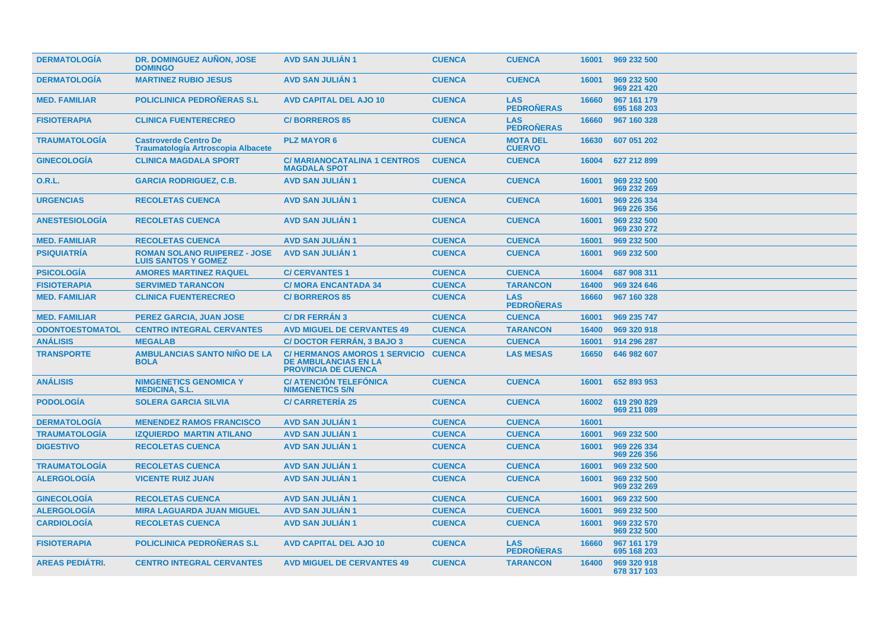| <b>DERMATOLOGÍA</b>    | DR. DOMINGUEZ AUÑON, JOSE<br><b>DOMINGO</b>                               | <b>AVD SAN JULIAN 1</b>                                                                          | <b>CUENCA</b> | <b>CUENCA</b>                    | 16001 | 969 232 500                |
|------------------------|---------------------------------------------------------------------------|--------------------------------------------------------------------------------------------------|---------------|----------------------------------|-------|----------------------------|
| <b>DERMATOLOGIA</b>    | <b>MARTINEZ RUBIO JESUS</b>                                               | <b>AVD SAN JULIAN 1</b>                                                                          | <b>CUENCA</b> | <b>CUENCA</b>                    | 16001 | 969 232 500<br>969 221 420 |
| <b>MED. FAMILIAR</b>   | <b>POLICLINICA PEDRONERAS S.L.</b>                                        | <b>AVD CAPITAL DEL AJO 10</b>                                                                    | <b>CUENCA</b> | <b>LAS</b><br><b>PEDROÑERAS</b>  | 16660 | 967 161 179<br>695 168 203 |
| <b>FISIOTERAPIA</b>    | <b>CLINICA FUENTERECREO</b>                                               | <b>C/BORREROS 85</b>                                                                             | <b>CUENCA</b> | <b>LAS</b><br><b>PEDRONERAS</b>  | 16660 | 967 160 328                |
| <b>TRAUMATOLOGIA</b>   | <b>Castroverde Centro De</b><br><b>Traumatología Artroscopia Albacete</b> | <b>PLZ MAYOR 6</b>                                                                               | <b>CUENCA</b> | <b>MOTA DEL</b><br><b>CUERVO</b> | 16630 | 607 051 202                |
| <b>GINECOLOGIA</b>     | <b>CLINICA MAGDALA SPORT</b>                                              | <b>C/MARIANOCATALINA 1 CENTROS</b><br><b>MAGDALA SPOT</b>                                        | <b>CUENCA</b> | <b>CUENCA</b>                    | 16004 | 627 212 899                |
| 0.R.L.                 | <b>GARCIA RODRIGUEZ, C.B.</b>                                             | <b>AVD SAN JULIAN 1</b>                                                                          | <b>CUENCA</b> | <b>CUENCA</b>                    | 16001 | 969 232 500<br>969 232 269 |
| <b>URGENCIAS</b>       | <b>RECOLETAS CUENCA</b>                                                   | <b>AVD SAN JULIÁN 1</b>                                                                          | <b>CUENCA</b> | <b>CUENCA</b>                    | 16001 | 969 226 334<br>969 226 356 |
| <b>ANESTESIOLOGÍA</b>  | <b>RECOLETAS CUENCA</b>                                                   | <b>AVD SAN JULIAN 1</b>                                                                          | <b>CUENCA</b> | <b>CUENCA</b>                    | 16001 | 969 232 500<br>969 230 272 |
| <b>MED. FAMILIAR</b>   | <b>RECOLETAS CUENCA</b>                                                   | <b>AVD SAN JULIAN 1</b>                                                                          | <b>CUENCA</b> | <b>CUENCA</b>                    | 16001 | 969 232 500                |
| <b>PSIQUIATRÍA</b>     | <b>ROMAN SOLANO RUIPEREZ - JOSE</b><br><b>LUIS SANTOS Y GOMEZ</b>         | <b>AVD SAN JULIAN 1</b>                                                                          | <b>CUENCA</b> | <b>CUENCA</b>                    | 16001 | 969 232 500                |
| <b>PSICOLOGIA</b>      | <b>AMORES MARTINEZ RAQUEL</b>                                             | <b>C/ CERVANTES 1</b>                                                                            | <b>CUENCA</b> | <b>CUENCA</b>                    | 16004 | 687 908 311                |
| <b>FISIOTERAPIA</b>    | <b>SERVIMED TARANCON</b>                                                  | <b>C/ MORA ENCANTADA 34</b>                                                                      | <b>CUENCA</b> | <b>TARANCON</b>                  | 16400 | 969 324 646                |
| <b>MED. FAMILIAR</b>   | <b>CLINICA FUENTERECREO</b>                                               | <b>C/BORREROS 85</b>                                                                             | <b>CUENCA</b> | <b>LAS</b><br><b>PEDRONERAS</b>  | 16660 | 967 160 328                |
| <b>MED. FAMILIAR</b>   | PEREZ GARCIA, JUAN JOSE                                                   | <b>C/DR FERRAN 3</b>                                                                             | <b>CUENCA</b> | <b>CUENCA</b>                    | 16001 | 969 235 747                |
| <b>ODONTOESTOMATOL</b> | <b>CENTRO INTEGRAL CERVANTES</b>                                          | <b>AVD MIGUEL DE CERVANTES 49</b>                                                                | <b>CUENCA</b> | <b>TARANCON</b>                  | 16400 | 969 320 918                |
| <b>ANÁLISIS</b>        | <b>MEGALAB</b>                                                            | <b>C/DOCTOR FERRÁN, 3 BAJO 3</b>                                                                 | <b>CUENCA</b> | <b>CUENCA</b>                    | 16001 | 914 296 287                |
| <b>TRANSPORTE</b>      | <b>AMBULANCIAS SANTO NIÑO DE LA</b><br><b>BOLA</b>                        | C/HERMANOS AMOROS 1 SERVICIO CUENCA<br><b>DE AMBULANCIAS EN LA</b><br><b>PROVINCIA DE CUENCA</b> |               | <b>LAS MESAS</b>                 | 16650 | 646 982 607                |
| <b>ANÁLISIS</b>        | <b>NIMGENETICS GENOMICA Y</b><br><b>MEDICINA, S.L.</b>                    | <b>C/ ATENCIÓN TELEFÓNICA</b><br><b>NIMGENETICS S/N</b>                                          | <b>CUENCA</b> | <b>CUENCA</b>                    | 16001 | 652 893 953                |
| <b>PODOLOGIA</b>       | <b>SOLERA GARCIA SILVIA</b>                                               | <b>C/ CARRETERIA 25</b>                                                                          | <b>CUENCA</b> | <b>CUENCA</b>                    | 16002 | 619 290 829<br>969 211 089 |
| <b>DERMATOLOGÍA</b>    | <b>MENENDEZ RAMOS FRANCISCO</b>                                           | <b>AVD SAN JULIAN 1</b>                                                                          | <b>CUENCA</b> | <b>CUENCA</b>                    | 16001 |                            |
| <b>TRAUMATOLOGÍA</b>   | <b>IZQUIERDO MARTIN ATILANO</b>                                           | <b>AVD SAN JULIAN 1</b>                                                                          | <b>CUENCA</b> | <b>CUENCA</b>                    | 16001 | 969 232 500                |
| <b>DIGESTIVO</b>       | <b>RECOLETAS CUENCA</b>                                                   | <b>AVD SAN JULIAN 1</b>                                                                          | <b>CUENCA</b> | <b>CUENCA</b>                    | 16001 | 969 226 334<br>969 226 356 |
| <b>TRAUMATOLOGIA</b>   | <b>RECOLETAS CUENCA</b>                                                   | <b>AVD SAN JULIAN 1</b>                                                                          | <b>CUENCA</b> | <b>CUENCA</b>                    | 16001 | 969 232 500                |
| <b>ALERGOLOGIA</b>     | <b>VICENTE RUIZ JUAN</b>                                                  | <b>AVD SAN JULIAN 1</b>                                                                          | <b>CUENCA</b> | <b>CUENCA</b>                    | 16001 | 969 232 500<br>969 232 269 |
| <b>GINECOLOGIA</b>     | <b>RECOLETAS CUENCA</b>                                                   | <b>AVD SAN JULIAN 1</b>                                                                          | <b>CUENCA</b> | <b>CUENCA</b>                    | 16001 | 969 232 500                |
| <b>ALERGOLOGÍA</b>     | <b>MIRA LAGUARDA JUAN MIGUEL</b>                                          | <b>AVD SAN JULIAN 1</b>                                                                          | <b>CUENCA</b> | <b>CUENCA</b>                    | 16001 | 969 232 500                |
| <b>CARDIOLOGÍA</b>     | <b>RECOLETAS CUENCA</b>                                                   | <b>AVD SAN JULIAN 1</b>                                                                          | <b>CUENCA</b> | <b>CUENCA</b>                    | 16001 | 969 232 570<br>969 232 500 |
| <b>FISIOTERAPIA</b>    | <b>POLICLINICA PEDRONERAS S.L.</b>                                        | <b>AVD CAPITAL DEL AJO 10</b>                                                                    | <b>CUENCA</b> | <b>LAS</b><br><b>PEDRONERAS</b>  | 16660 | 967 161 179<br>695 168 203 |
| <b>AREAS PEDIATRI.</b> | <b>CENTRO INTEGRAL CERVANTES</b>                                          | <b>AVD MIGUEL DE CERVANTES 49</b>                                                                | <b>CUENCA</b> | <b>TARANCON</b>                  | 16400 | 969 320 918<br>678 317 103 |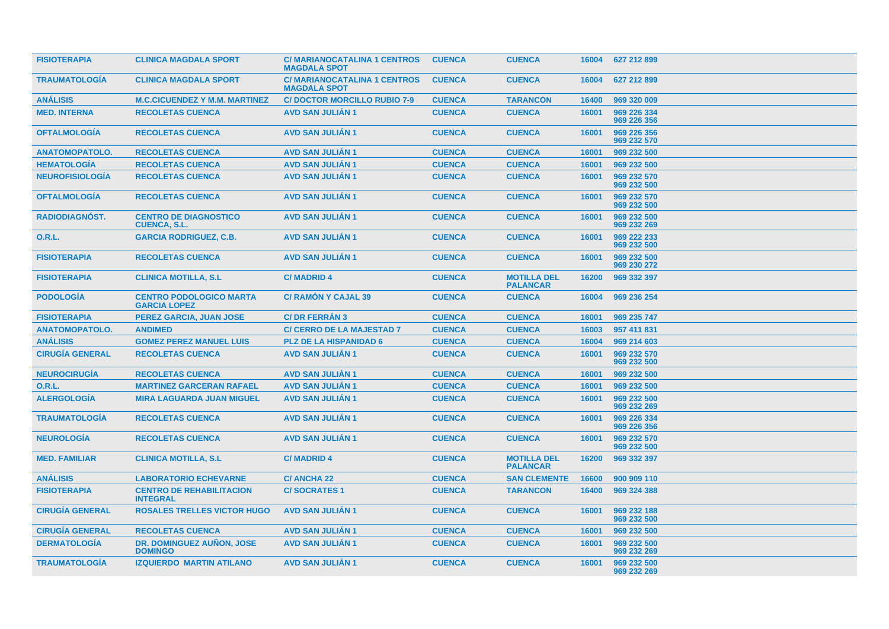| <b>FISIOTERAPIA</b>    | <b>CLINICA MAGDALA SPORT</b>                          | <b>C/MARIANOCATALINA 1 CENTROS</b><br><b>MAGDALA SPOT</b> | <b>CUENCA</b> | <b>CUENCA</b>                         | 16004 | 627 212 899                |
|------------------------|-------------------------------------------------------|-----------------------------------------------------------|---------------|---------------------------------------|-------|----------------------------|
| <b>TRAUMATOLOGIA</b>   | <b>CLINICA MAGDALA SPORT</b>                          | <b>C/MARIANOCATALINA 1 CENTROS</b><br><b>MAGDALA SPOT</b> | <b>CUENCA</b> | <b>CUENCA</b>                         | 16004 | 627 212 899                |
| <b>ANÁLISIS</b>        | <b>M.C.CICUENDEZ Y M.M. MARTINEZ</b>                  | <b>C/DOCTOR MORCILLO RUBIO 7-9</b>                        | <b>CUENCA</b> | <b>TARANCON</b>                       | 16400 | 969 320 009                |
| <b>MED. INTERNA</b>    | <b>RECOLETAS CUENCA</b>                               | <b>AVD SAN JULIAN 1</b>                                   | <b>CUENCA</b> | <b>CUENCA</b>                         | 16001 | 969 226 334<br>969 226 356 |
| <b>OFTALMOLOGÍA</b>    | <b>RECOLETAS CUENCA</b>                               | <b>AVD SAN JULIAN 1</b>                                   | <b>CUENCA</b> | <b>CUENCA</b>                         | 16001 | 969 226 356<br>969 232 570 |
| <b>ANATOMOPATOLO.</b>  | <b>RECOLETAS CUENCA</b>                               | <b>AVD SAN JULIAN 1</b>                                   | <b>CUENCA</b> | <b>CUENCA</b>                         | 16001 | 969 232 500                |
| <b>HEMATOLOGÍA</b>     | <b>RECOLETAS CUENCA</b>                               | <b>AVD SAN JULIAN 1</b>                                   | <b>CUENCA</b> | <b>CUENCA</b>                         | 16001 | 969 232 500                |
| <b>NEUROFISIOLOGÍA</b> | <b>RECOLETAS CUENCA</b>                               | <b>AVD SAN JULIAN 1</b>                                   | <b>CUENCA</b> | <b>CUENCA</b>                         | 16001 | 969 232 570<br>969 232 500 |
| <b>OFTALMOLOGIA</b>    | <b>RECOLETAS CUENCA</b>                               | <b>AVD SAN JULIAN 1</b>                                   | <b>CUENCA</b> | <b>CUENCA</b>                         | 16001 | 969 232 570<br>969 232 500 |
| RADIODIAGNÓST.         | <b>CENTRO DE DIAGNOSTICO</b><br><b>CUENCA, S.L.</b>   | <b>AVD SAN JULIAN 1</b>                                   | <b>CUENCA</b> | <b>CUENCA</b>                         | 16001 | 969 232 500<br>969 232 269 |
| <b>O.R.L.</b>          | <b>GARCIA RODRIGUEZ, C.B.</b>                         | <b>AVD SAN JULIAN 1</b>                                   | <b>CUENCA</b> | <b>CUENCA</b>                         | 16001 | 969 222 233<br>969 232 500 |
| <b>FISIOTERAPIA</b>    | <b>RECOLETAS CUENCA</b>                               | <b>AVD SAN JULIAN 1</b>                                   | <b>CUENCA</b> | <b>CUENCA</b>                         | 16001 | 969 232 500<br>969 230 272 |
| <b>FISIOTERAPIA</b>    | <b>CLINICA MOTILLA, S.L.</b>                          | <b>C/MADRID 4</b>                                         | <b>CUENCA</b> | <b>MOTILLA DEL</b><br><b>PALANCAR</b> | 16200 | 969 332 397                |
| <b>PODOLOGIA</b>       | <b>CENTRO PODOLOGICO MARTA</b><br><b>GARCIA LOPEZ</b> | <b>C/ RAMON Y CAJAL 39</b>                                | <b>CUENCA</b> | <b>CUENCA</b>                         | 16004 | 969 236 254                |
| <b>FISIOTERAPIA</b>    | <b>PEREZ GARCIA, JUAN JOSE</b>                        | <b>C/DR FERRAN 3</b>                                      | <b>CUENCA</b> | <b>CUENCA</b>                         | 16001 | 969 235 747                |
| <b>ANATOMOPATOLO.</b>  | <b>ANDIMED</b>                                        | <b>C/ CERRO DE LA MAJESTAD 7</b>                          | <b>CUENCA</b> | <b>CUENCA</b>                         | 16003 | 957 411 831                |
| <b>ANÁLISIS</b>        | <b>GOMEZ PEREZ MANUEL LUIS</b>                        | <b>PLZ DE LA HISPANIDAD 6</b>                             | <b>CUENCA</b> | <b>CUENCA</b>                         | 16004 | 969 214 603                |
| <b>CIRUGÍA GENERAL</b> | <b>RECOLETAS CUENCA</b>                               | <b>AVD SAN JULIAN 1</b>                                   | <b>CUENCA</b> | <b>CUENCA</b>                         | 16001 | 969 232 570<br>969 232 500 |
| <b>NEUROCIRUGIA</b>    | <b>RECOLETAS CUENCA</b>                               | <b>AVD SAN JULIAN 1</b>                                   | <b>CUENCA</b> | <b>CUENCA</b>                         | 16001 | 969 232 500                |
| 0.R.L.                 | <b>MARTINEZ GARCERAN RAFAEL</b>                       | <b>AVD SAN JULIAN 1</b>                                   | <b>CUENCA</b> | <b>CUENCA</b>                         | 16001 | 969 232 500                |
| <b>ALERGOLOGÍA</b>     | <b>MIRA LAGUARDA JUAN MIGUEL</b>                      | <b>AVD SAN JULIAN 1</b>                                   | <b>CUENCA</b> | <b>CUENCA</b>                         | 16001 | 969 232 500<br>969 232 269 |
| <b>TRAUMATOLOGÍA</b>   | <b>RECOLETAS CUENCA</b>                               | <b>AVD SAN JULIAN 1</b>                                   | <b>CUENCA</b> | <b>CUENCA</b>                         | 16001 | 969 226 334<br>969 226 356 |
| <b>NEUROLOGÍA</b>      | <b>RECOLETAS CUENCA</b>                               | <b>AVD SAN JULIAN 1</b>                                   | <b>CUENCA</b> | <b>CUENCA</b>                         | 16001 | 969 232 570<br>969 232 500 |
| <b>MED. FAMILIAR</b>   | <b>CLINICA MOTILLA, S.L.</b>                          | <b>C/MADRID 4</b>                                         | <b>CUENCA</b> | <b>MOTILLA DEL</b><br><b>PALANCAR</b> | 16200 | 969 332 397                |
| <b>ANÁLISIS</b>        | <b>LABORATORIO ECHEVARNE</b>                          | <b>C/ANCHA 22</b>                                         | <b>CUENCA</b> | <b>SAN CLEMENTE</b>                   | 16600 | 900 909 110                |
| <b>FISIOTERAPIA</b>    | <b>CENTRO DE REHABILITACION</b><br><b>INTEGRAL</b>    | <b>C/SOCRATES1</b>                                        | <b>CUENCA</b> | <b>TARANCON</b>                       | 16400 | 969 324 388                |
| <b>CIRUGÍA GENERAL</b> | <b>ROSALES TRELLES VICTOR HUGO</b>                    | <b>AVD SAN JULIAN 1</b>                                   | <b>CUENCA</b> | <b>CUENCA</b>                         | 16001 | 969 232 188<br>969 232 500 |
| <b>CIRUGÍA GENERAL</b> | <b>RECOLETAS CUENCA</b>                               | <b>AVD SAN JULIAN 1</b>                                   | <b>CUENCA</b> | <b>CUENCA</b>                         | 16001 | 969 232 500                |
| <b>DERMATOLOGÍA</b>    | DR. DOMINGUEZ AUÑON, JOSE<br><b>DOMINGO</b>           | <b>AVD SAN JULIAN 1</b>                                   | <b>CUENCA</b> | <b>CUENCA</b>                         | 16001 | 969 232 500<br>969 232 269 |
| <b>TRAUMATOLOGIA</b>   | <b>IZQUIERDO MARTIN ATILANO</b>                       | <b>AVD SAN JULIAN 1</b>                                   | <b>CUENCA</b> | <b>CUENCA</b>                         | 16001 | 969 232 500<br>969 232 269 |